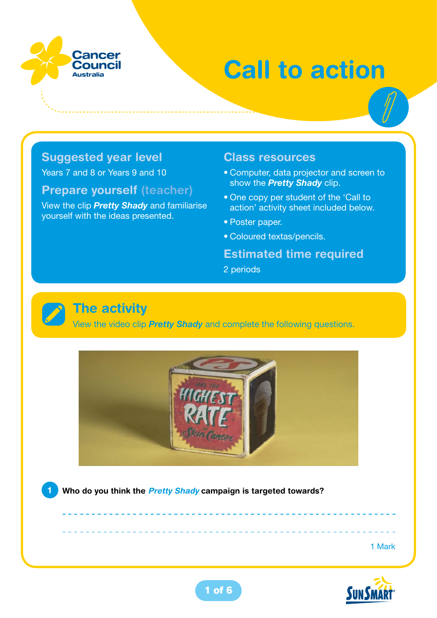

# **Call to action**

#### **Suggested year level**

Years 7 and 8 or Years 9 and 10

#### **Prepare yourself (teacher)**

View the clip *Pretty Shady* and familiarise yourself with the ideas presented.

#### **Class resources**

- **•** Computer, data projector and screen to show the *Pretty Shady* clip.
- **•** One copy per student of the 'Call to action' activity sheet included below.
- **•** Poster paper.
- **•** Coloured textas/pencils.

#### **Estimated time required**

2 periods

#### **The activity**

View the video clip *Pretty Shady* and complete the following questions.



**1 Who do you think the** *Pretty Shady* **campaign is targeted towards?** 

1 Mark

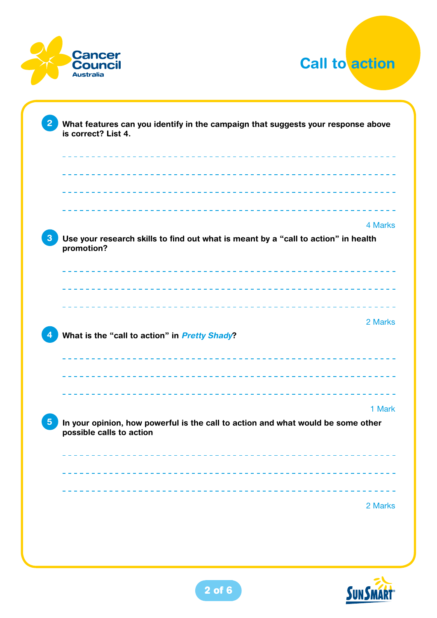



|                                                                                                              | 4 Marks |
|--------------------------------------------------------------------------------------------------------------|---------|
| Use your research skills to find out what is meant by a "call to action" in health<br>promotion?             |         |
|                                                                                                              |         |
|                                                                                                              |         |
| What is the "call to action" in Pretty Shady?                                                                | 2 Marks |
|                                                                                                              |         |
| ----------------------------------                                                                           |         |
| In your opinion, how powerful is the call to action and what would be some other<br>possible calls to action | 1 Mark  |
|                                                                                                              |         |
|                                                                                                              |         |

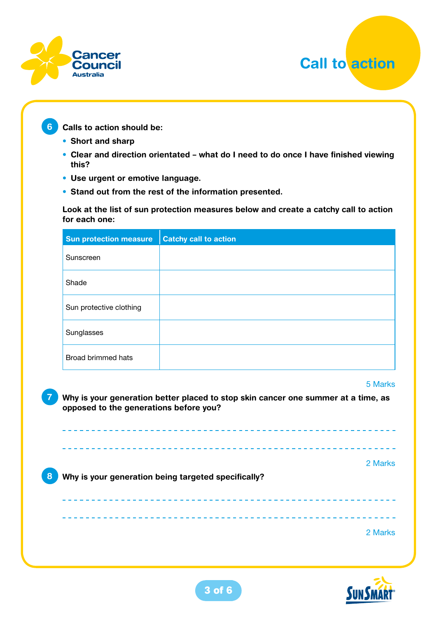



**6 Calls to action should be:**

- **• Short and sharp**
- **• Clear and direction orientated what do I need to do once I have finished viewing this?**
- **• Use urgent or emotive language.**
- **• Stand out from the rest of the information presented.**

**Look at the list of sun protection measures below and create a catchy call to action for each one:**

| <b>Sun protection measure</b> | <b>Catchy call to action</b> |
|-------------------------------|------------------------------|
| Sunscreen                     |                              |
| Shade                         |                              |
| Sun protective clothing       |                              |
| Sunglasses                    |                              |
| Broad brimmed hats            |                              |
|                               | 5 Marks                      |

**7 Why is your generation better placed to stop skin cancer one summer at a time, as opposed to the generations before you?** 

2 Marks **8 Why is your generation being targeted specifically?**  2 Marks

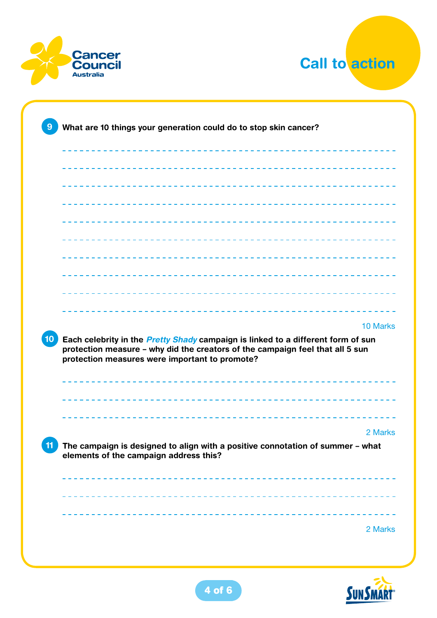



|                                                                                                                                                                                                                            | 10 Marks |
|----------------------------------------------------------------------------------------------------------------------------------------------------------------------------------------------------------------------------|----------|
| Each celebrity in the <i>Pretty Shady</i> campaign is linked to a different form of sun<br>protection measure - why did the creators of the campaign feel that all 5 sun<br>protection measures were important to promote? |          |
|                                                                                                                                                                                                                            |          |
|                                                                                                                                                                                                                            |          |
|                                                                                                                                                                                                                            |          |
| The campaign is designed to align with a positive connotation of summer - what<br>elements of the campaign address this?                                                                                                   |          |
|                                                                                                                                                                                                                            | 2 Marks  |
|                                                                                                                                                                                                                            |          |

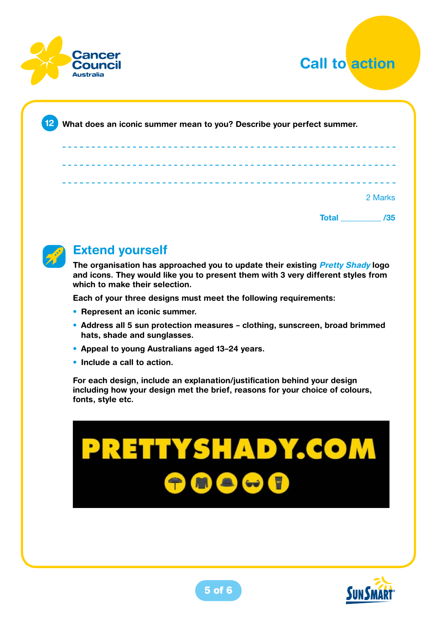



| 12 <br>What does an iconic summer mean to you? Describe your perfect summer. |                     |
|------------------------------------------------------------------------------|---------------------|
|                                                                              |                     |
|                                                                              |                     |
|                                                                              |                     |
|                                                                              |                     |
|                                                                              | 2 Marks             |
|                                                                              | <b>Total</b><br>/35 |



#### **Extend yourself**

**The organisation has approached you to update their existing** *Pretty Shady* **logo and icons. They would like you to present them with 3 very different styles from which to make their selection.** 

**Each of your three designs must meet the following requirements:** 

- **• Represent an iconic summer.**
- **• Address all 5 sun protection measures clothing, sunscreen, broad brimmed hats, shade and sunglasses.**
- **• Appeal to young Australians aged 13–24 years.**
- **• Include a call to action.**

**For each design, include an explanation/justification behind your design including how your design met the brief, reasons for your choice of colours, fonts, style etc.**

# **PRETTYSHADY.COM** M & W T